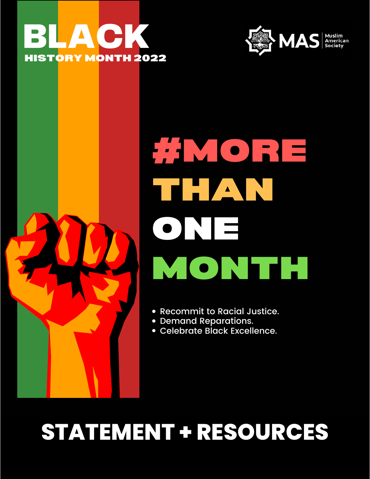





# THAN #MORE MONTH **ONE**

- Recommit to Racial Justice.
- Demand Reparations.
- Celebrate Black Excellence.

#### ATENIENT - REVOUR<br>. **STATEMENT + RESOURCES**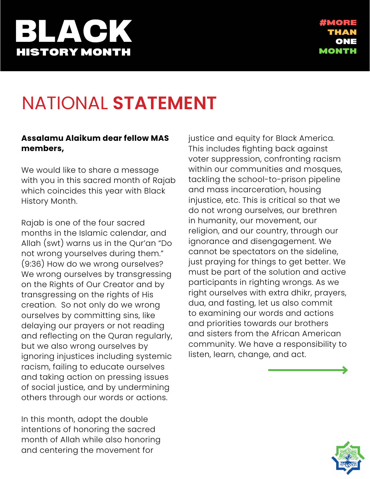### **PLAY** HISTORY MONTH

### NATIONAL **STATEMENT**

#### **Assalamu Alaikum dear fellow MAS members,**

We would like to share a message with you in this sacred month of Rajab which coincides this year with Black History Month.

Rajab is one of the four sacred months in the Islamic calendar, and Allah (swt) warns us in the Qur'an "Do not wrong yourselves during them." (9:36) How do we wrong ourselves? We wrong ourselves by transgressing on the Rights of Our Creator and by transgressing on the rights of His creation. So not only do we wrong ourselves by committing sins, like delaying our prayers or not reading and reflecting on the Quran regularly, but we also wrong ourselves by ignoring injustices including systemic racism, failing to educate ourselves and taking action on pressing issues of social justice, and by undermining others through our words or actions.

In this month, adopt the double intentions of honoring the sacred month of Allah while also honoring and centering the movement for

justice and equity for Black America. This includes fighting back against voter suppression, confronting racism within our communities and mosques, tackling the school-to-prison pipeline and mass incarceration, housing injustice, etc. This is critical so that we do not wrong ourselves, our brethren in humanity, our movement, our religion, and our country, through our ignorance and disengagement. We cannot be spectators on the sideline, just praying for things to get better. We must be part of the solution and active participants in righting wrongs. As we right ourselves with extra dhikr, prayers, dua, and fasting, let us also commit to examining our words and actions and priorities towards our brothers and sisters from the African American community. We have a responsibility to listen, learn, change, and act.

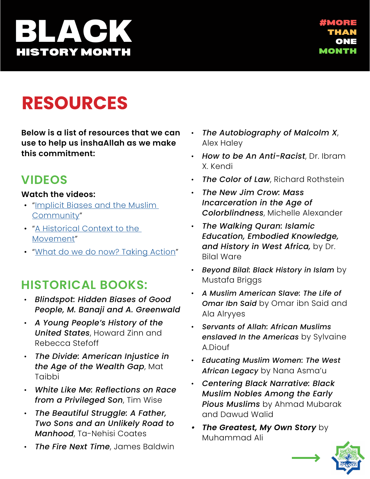# **BLACK** HISTORY MONTH

### **RESOURCES**

**Below is a list of resources that we can use to help us inshaAllah as we make this commitment:**

#### **VIDEOS**

#### **Watch the videos:**

- "[Implicit Biases and the Muslim](https://www.youtube.com/watch?v=1PjjciSN3ks)  [Community"](https://www.youtube.com/watch?v=1PjjciSN3ks)
- "A Historical Context to the [Movement](https://www.youtube.com/watch?v=kc2-wijuEDk)"
- "[What do we do now? Taking Action"](https://www.youtube.com/watch?v=bLfWP42J8b4)

#### **HISTORICAL BOOKS:**

- *Blindspot: Hidden Biases of Good People, M. Banaji and A. Greenwald*
- *A Young People's History of the United States*, Howard Zinn and Rebecca Stefoff
- *The Divide: American Injustice in the Age of the Wealth Gap*, Mat Taibbi
- *White Like Me: Reflections on Race from a Privileged Son*, Tim Wise
- *The Beautiful Struggle: A Father, Two Sons and an Unlikely Road to Manhood*, Ta-Nehisi Coates
- *The Fire Next Time*, James Baldwin
- *The Autobiography of Malcolm X*, Alex Haley
- *How to be An Anti-Racist*, Dr. Ibram X. Kendi
- *The Color of Law*, Richard Rothstein
- *The New Jim Crow: Mass Incarceration in the Age of Colorblindness*, Michelle Alexander
- *The Walking Quran: Islamic Education, Embodied Knowledge, and History in West Africa,* by Dr. Bilal Ware
- *Beyond Bilal: Black History in Islam* by Mustafa Briggs
- *A Muslim American Slave: The Life of Omar Ibn Said* by Omar ibn Said and Ala Alryyes
- *Servants of Allah: African Muslims enslaved In the Americas* by Sylvaine A.Diouf
- *Educating Muslim Women: The West African Legacy* by Nana Asma'u
- *Centering Black Narrative: Black Muslim Nobles Among the Early Pious Muslims* by Ahmad Mubarak and Dawud Walid
- *• The Greatest, My Own Story* by Muhammad Ali

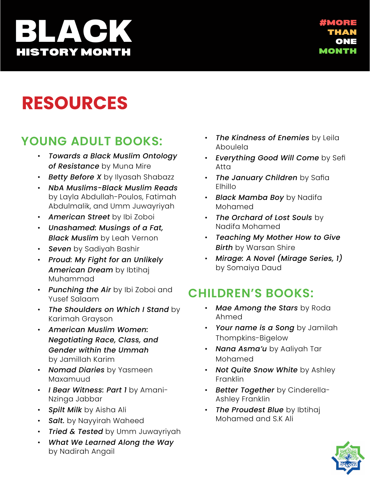# **BLACK** HISTORY MONTH

### **RESOURCES**

#### **YOUNG ADULT BOOKS:**

- *Towards a Black Muslim Ontology of Resistance* by Muna Mire
- *Betty Before X* by Ilyasah Shabazz
- *NbA Muslims-Black Muslim Reads* by Layla Abdullah-Poulos, Fatimah Abdulmalik, and Umm Juwayriyah
- *American Street* by Ibi Zoboi
- *Unashamed: Musings of a Fat, Black Muslim* by Leah Vernon
- *Seven* by Sadiyah Bashir
- *Proud: My Fight for an Unlikely American Dream* by Ibtihaj Muhammad
- *Punching the Air* by Ibi Zoboi and Yusef Salaam
- *The Shoulders on Which I Stand* by Karimah Grayson
- *American Muslim Women: Negotiating Race, Class, and Gender within the Ummah* by Jamillah Karim
- *Nomad Diaries* by Yasmeen Maxamuud
- *I Bear Witness: Part 1* by Amani-Nzinga Jabbar
- *Spilt Milk* by Aisha Ali
- *Salt.* by Nayyirah Waheed
- *Tried & Tested* by Umm Juwayriyah
- *What We Learned Along the Way* by Nadirah Angail
- *The Kindness of Enemies* by Leila Aboulela
- *Everything Good Will Come* by Sefi Atta
- *The January Children* by Safia Elhillo
- *Black Mamba Boy* by Nadifa Mohamed
- *The Orchard of Lost Souls* by Nadifa Mohamed
- *Teaching My Mother How to Give Birth* by Warsan Shire
- *Mirage: A Novel (Mirage Series, 1)* by Somaiya Daud

#### **CHILDREN'S BOOKS:**

- *Mae Among the Stars* by Roda Ahmed
- *Your name is a Song* by Jamilah Thompkins-Bigelow
- *Nana Asma'u* by Aaliyah Tar Mohamed
- *Not Quite Snow White* by Ashley **Franklin**
- *Better Together* by Cinderella-Ashley Franklin
- **The Proudest Blue** by Ibtihaj Mohamed and S.K Ali

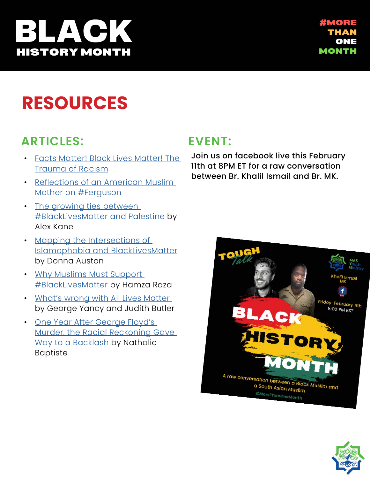### ACH! HISTORY MONTH

#### **RESOURCES**

#### **ARTICLES:**

- [Facts Matter! Black Lives Matter! The](https://mcsilver.nyu.edu/wp-content/uploads/2020/06/trauma_of_racism_report.pdf)  [Trauma of Racism](https://mcsilver.nyu.edu/wp-content/uploads/2020/06/trauma_of_racism_report.pdf)
- [Reflections of an American Muslim](https://medium.com/ummah-wide/august-9th-2014-7944c5a4c69)  [Mother on #Ferguson](https://medium.com/ummah-wide/august-9th-2014-7944c5a4c69)
- The growing ties between [#BlackLivesMatter and Palestine b](https://mondoweiss.net/2015/01/between-blacklivesmatter-palestine/)y Alex Kane
- [Mapping the Intersections of](https://sapelosquare.com/2015/05/19/mapping-the-intersections-of-islamophobia-blacklivesmatter-unearthing-black-muslim-life-activism-in-the-policing-crisis/)  [Islamophobia and BlackLivesMatter](https://sapelosquare.com/2015/05/19/mapping-the-intersections-of-islamophobia-blacklivesmatter-unearthing-black-muslim-life-activism-in-the-policing-crisis/) by Donna Auston
- [Why Muslims Must Support](https://www.huffpost.com/entry/muslims-must-support-blacklivesmatter_b_8899156)  [#BlackLivesMatter](https://www.huffpost.com/entry/muslims-must-support-blacklivesmatter_b_8899156) by Hamza Raza
- [What's wrong with All Lives Matter](https://opinionator.blogs.nytimes.com/2015/01/12/whats-wrong-with-all-lives-matter/)  [by George Yancy and Judith Butler](https://opinionator.blogs.nytimes.com/2015/01/12/whats-wrong-with-all-lives-matter/)
- [One Year After George Floyd's](https://www.motherjones.com/politics/2021/05/one-year-after-george-floyds-murder-the-racial-reckoning-gave-way-to-a-backlash/)  [Murder, the Racial Reckoning Gave](https://www.motherjones.com/politics/2021/05/one-year-after-george-floyds-murder-the-racial-reckoning-gave-way-to-a-backlash/)  [Way to a Backlash](https://www.motherjones.com/politics/2021/05/one-year-after-george-floyds-murder-the-racial-reckoning-gave-way-to-a-backlash/) by Nathalie Baptiste

#### **EVENT:**

Join us on facebook live this February 11th at 8PM ET for a raw conversation between Br. Khalil Ismail and Br. MK.